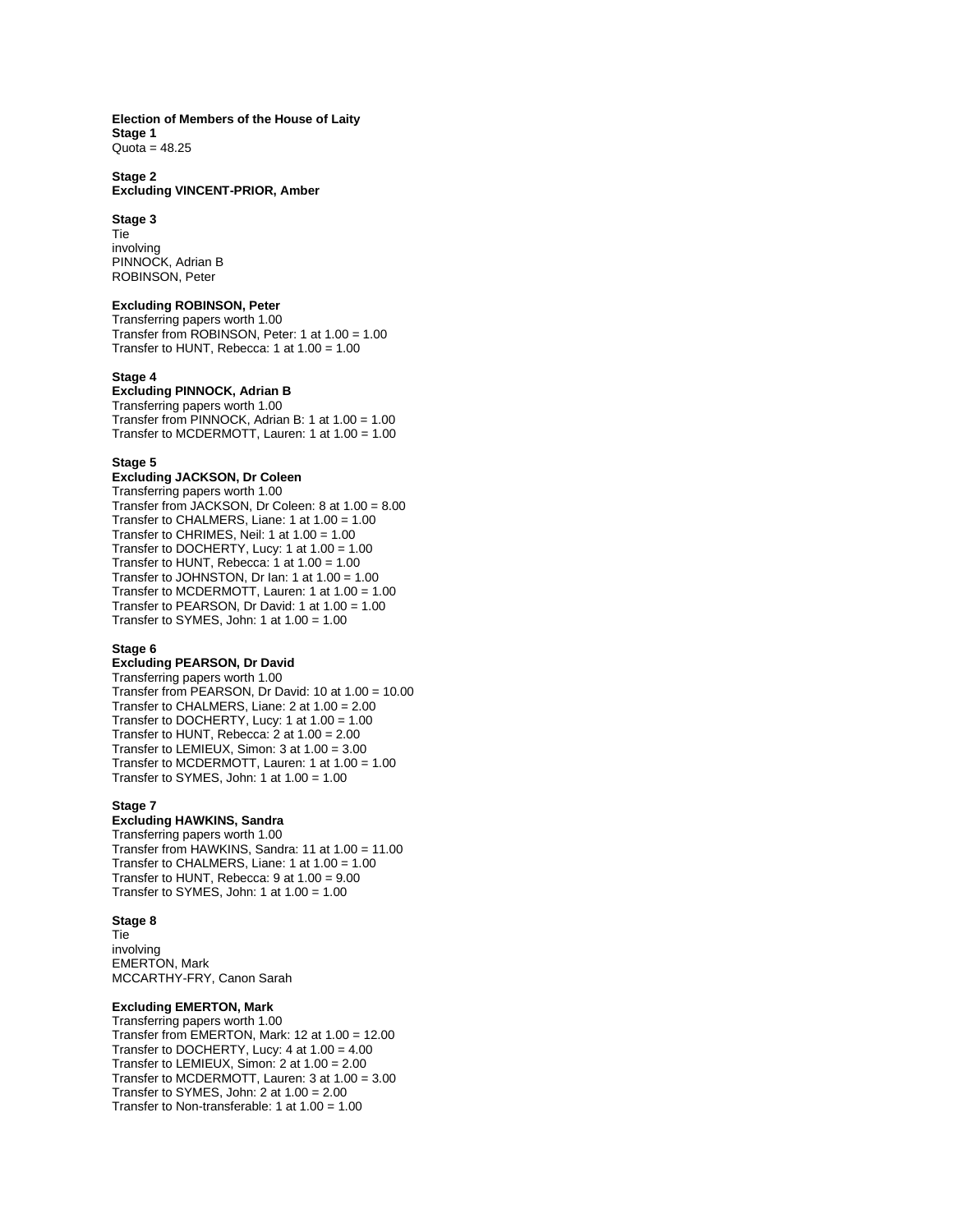**Election of Members of the House of Laity Stage 1**  $Quota = 48.25$ 

**Stage 2 Excluding VINCENT-PRIOR, Amber**

## **Stage 3**

Tie involving PINNOCK, Adrian B ROBINSON, Peter

## **Excluding ROBINSON, Peter**

Transferring papers worth 1.00 Transfer from ROBINSON, Peter: 1 at 1.00 = 1.00 Transfer to HUNT, Rebecca: 1 at 1.00 = 1.00

## **Stage 4**

# **Excluding PINNOCK, Adrian B**

Transferring papers worth 1.00 Transfer from PINNOCK, Adrian B: 1 at 1.00 = 1.00 Transfer to MCDERMOTT, Lauren: 1 at 1.00 = 1.00

#### **Stage 5**

### **Excluding JACKSON, Dr Coleen**

Transferring papers worth 1.00 Transfer from JACKSON, Dr Coleen: 8 at 1.00 = 8.00 Transfer to CHALMERS, Liane: 1 at 1.00 = 1.00 Transfer to CHRIMES, Neil: 1 at 1.00 = 1.00 Transfer to DOCHERTY, Lucy: 1 at 1.00 = 1.00 Transfer to HUNT, Rebecca:  $1$  at  $1.00 = 1.00$ Transfer to JOHNSTON, Dr Ian: 1 at 1.00 = 1.00 Transfer to MCDERMOTT, Lauren: 1 at 1.00 = 1.00 Transfer to PEARSON, Dr David: 1 at 1.00 = 1.00 Transfer to SYMES, John: 1 at 1.00 = 1.00

## **Stage 6**

## **Excluding PEARSON, Dr David**

Transferring papers worth 1.00 Transfer from PEARSON, Dr David: 10 at 1.00 = 10.00 Transfer to CHALMERS, Liane: 2 at 1.00 = 2.00 Transfer to DOCHERTY, Lucy: 1 at 1.00 = 1.00 Transfer to HUNT, Rebecca: 2 at 1.00 = 2.00 Transfer to LEMIEUX, Simon: 3 at 1.00 = 3.00 Transfer to MCDERMOTT, Lauren: 1 at 1.00 = 1.00 Transfer to SYMES, John:  $1$  at  $1.00 = 1.00$ 

#### **Stage 7**

# **Excluding HAWKINS, Sandra**

Transferring papers worth 1.00 Transfer from HAWKINS, Sandra: 11 at 1.00 = 11.00 Transfer to CHALMERS, Liane: 1 at 1.00 = 1.00 Transfer to HUNT, Rebecca: 9 at 1.00 = 9.00 Transfer to SYMES, John: 1 at  $1.00 = 1.00$ 

#### **Stage 8**

Tie involving EMERTON, Mark MCCARTHY-FRY, Canon Sarah

# **Excluding EMERTON, Mark**

Transferring papers worth 1.00 Transfer from EMERTON, Mark: 12 at 1.00 = 12.00 Transfer to DOCHERTY, Lucy: 4 at 1.00 = 4.00 Transfer to LEMIEUX, Simon: 2 at 1.00 = 2.00 Transfer to MCDERMOTT, Lauren: 3 at 1.00 = 3.00 Transfer to SYMES, John: 2 at 1.00 = 2.00 Transfer to Non-transferable: 1 at 1.00 = 1.00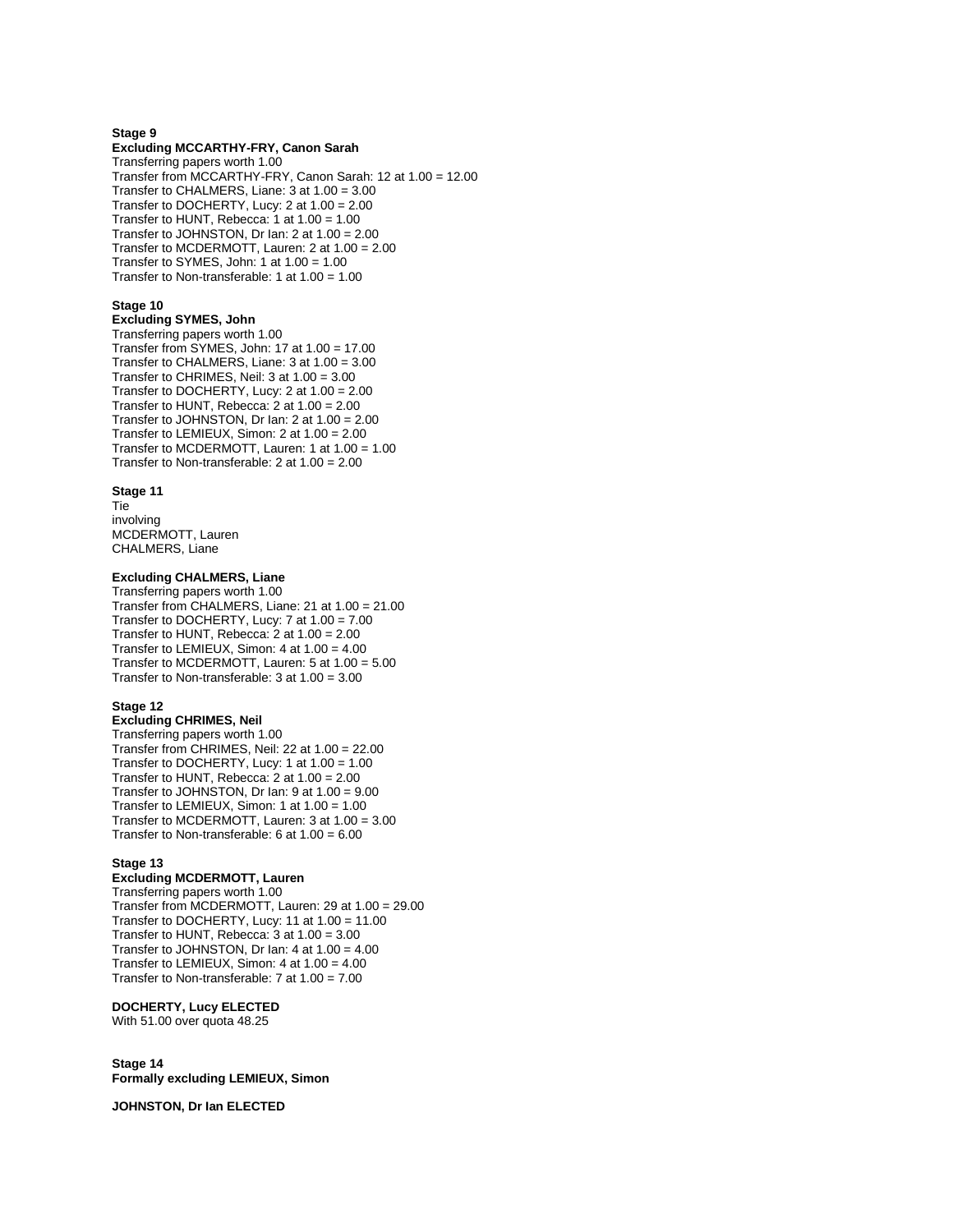### **Stage 9**

## **Excluding MCCARTHY-FRY, Canon Sarah**

Transferring papers worth 1.00 Transfer from MCCARTHY-FRY, Canon Sarah: 12 at 1.00 = 12.00 Transfer to CHALMERS, Liane: 3 at 1.00 = 3.00 Transfer to DOCHERTY, Lucy: 2 at 1.00 = 2.00 Transfer to HUNT, Rebecca: 1 at 1.00 = 1.00 Transfer to JOHNSTON, Dr Ian: 2 at 1.00 = 2.00 Transfer to MCDERMOTT, Lauren: 2 at 1.00 = 2.00 Transfer to SYMES, John: 1 at 1.00 = 1.00 Transfer to Non-transferable: 1 at 1.00 = 1.00

#### **Stage 10**

### **Excluding SYMES, John**

Transferring papers worth 1.00 Transfer from SYMES, John: 17 at 1.00 = 17.00 Transfer to CHALMERS, Liane: 3 at 1.00 = 3.00 Transfer to CHRIMES, Neil: 3 at 1.00 = 3.00 Transfer to DOCHERTY, Lucy: 2 at 1.00 = 2.00 Transfer to HUNT, Rebecca: 2 at 1.00 = 2.00 Transfer to JOHNSTON, Dr Ian: 2 at 1.00 = 2.00 Transfer to LEMIEUX, Simon: 2 at 1.00 = 2.00 Transfer to MCDERMOTT, Lauren: 1 at 1.00 = 1.00 Transfer to Non-transferable: 2 at 1.00 = 2.00

#### **Stage 11**

Tie involving MCDERMOTT, Lauren CHALMERS, Liane

#### **Excluding CHALMERS, Liane**

Transferring papers worth 1.00 Transfer from CHALMERS, Liane: 21 at 1.00 = 21.00 Transfer to DOCHERTY, Lucy: 7 at 1.00 = 7.00 Transfer to HUNT, Rebecca: 2 at 1.00 = 2.00 Transfer to LEMIEUX, Simon: 4 at 1.00 = 4.00 Transfer to MCDERMOTT, Lauren: 5 at 1.00 = 5.00 Transfer to Non-transferable: 3 at 1.00 = 3.00

#### **Stage 12**

**Excluding CHRIMES, Neil**

Transferring papers worth 1.00 Transfer from CHRIMES, Neil: 22 at 1.00 = 22.00 Transfer to DOCHERTY, Lucy: 1 at 1.00 = 1.00 Transfer to HUNT, Rebecca: 2 at 1.00 = 2.00 Transfer to JOHNSTON, Dr Ian: 9 at 1.00 = 9.00 Transfer to LEMIEUX, Simon: 1 at 1.00 = 1.00 Transfer to MCDERMOTT, Lauren: 3 at 1.00 = 3.00 Transfer to Non-transferable: 6 at 1.00 = 6.00

## **Stage 13**

## **Excluding MCDERMOTT, Lauren**

Transferring papers worth 1.00 Transfer from MCDERMOTT, Lauren: 29 at 1.00 = 29.00 Transfer to DOCHERTY, Lucy: 11 at 1.00 = 11.00 Transfer to HUNT, Rebecca: 3 at 1.00 = 3.00 Transfer to JOHNSTON, Dr Ian: 4 at 1.00 = 4.00 Transfer to LEMIEUX, Simon: 4 at 1.00 = 4.00 Transfer to Non-transferable: 7 at 1.00 = 7.00

**DOCHERTY, Lucy ELECTED**  With 51.00 over quota 48.25

## **Stage 14 Formally excluding LEMIEUX, Simon**

**JOHNSTON, Dr Ian ELECTED**